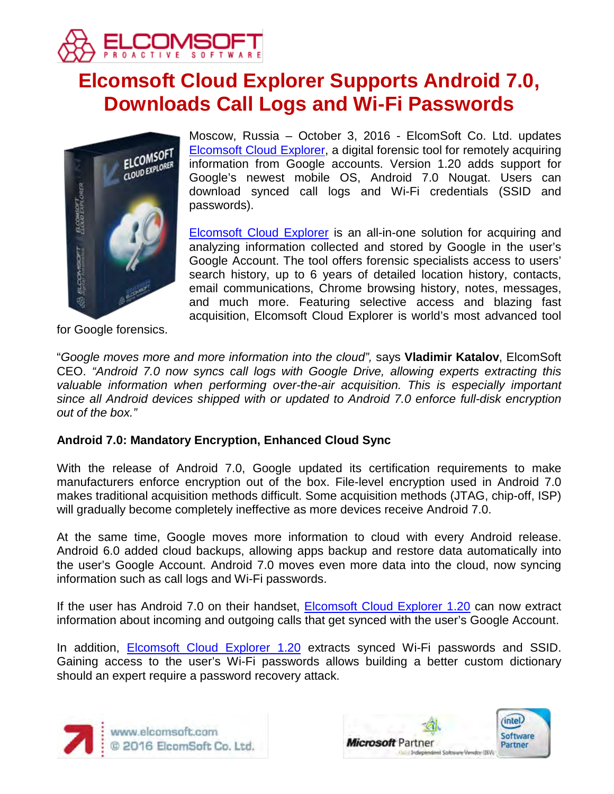

# **Elcomsoft Cloud Explorer Supports Android 7.0, Downloads Call Logs and Wi-Fi Passwords**



Moscow, Russia – October 3, 2016 - ElcomSoft Co. Ltd. updates [Elcomsoft Cloud Explorer,](https://www.elcomsoft.com/ecx.html) a digital forensic tool for remotely acquiring information from Google accounts. Version 1.20 adds support for Google's newest mobile OS, Android 7.0 Nougat. Users can download synced call logs and Wi-Fi credentials (SSID and passwords).

[Elcomsoft Cloud Explorer](https://www.elcomsoft.com/ecx.html) is an all-in-one solution for acquiring and analyzing information collected and stored by Google in the user's Google Account. The tool offers forensic specialists access to users' search history, up to 6 years of detailed location history, contacts, email communications, Chrome browsing history, notes, messages, and much more. Featuring selective access and blazing fast acquisition, Elcomsoft Cloud Explorer is world's most advanced tool

for Google forensics.

"*Google moves more and more information into the cloud",* says **Vladimir Katalov**, ElcomSoft CEO. *"Android 7.0 now syncs call logs with Google Drive, allowing experts extracting this valuable information when performing over-the-air acquisition. This is especially important since all Android devices shipped with or updated to Android 7.0 enforce full-disk encryption out of the box."*

# **Android 7.0: Mandatory Encryption, Enhanced Cloud Sync**

With the release of Android 7.0, Google updated its certification requirements to make manufacturers enforce encryption out of the box. File-level encryption used in Android 7.0 makes traditional acquisition methods difficult. Some acquisition methods (JTAG, chip-off, ISP) will gradually become completely ineffective as more devices receive Android 7.0.

At the same time, Google moves more information to cloud with every Android release. Android 6.0 added cloud backups, allowing apps backup and restore data automatically into the user's Google Account. Android 7.0 moves even more data into the cloud, now syncing information such as call logs and Wi-Fi passwords.

If the user has Android 7.0 on their handset, **Elcomsoft Cloud Explorer 1.20** can now extract information about incoming and outgoing calls that get synced with the user's Google Account.

In addition, [Elcomsoft Cloud Explorer 1.20](https://www.elcomsoft.com/ecx.html) extracts synced Wi-Fi passwords and SSID. Gaining access to the user's Wi-Fi passwords allows building a better custom dictionary should an expert require a password recovery attack.